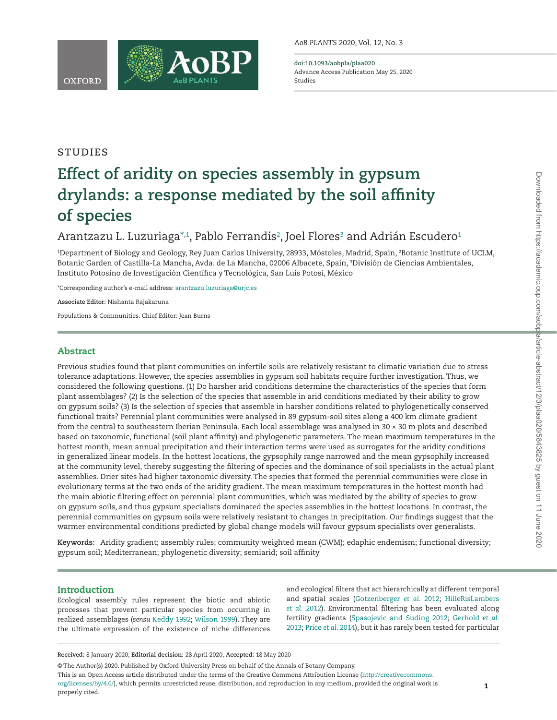**STUDIES** 



# **Effect of aridity on species assembly in gypsum drylands: a response mediated by the soil affinity of species**

## Arantzazu L. Luzuriag[a\\*](#page-0-0)<sup>[,1](#page-0-1)</sup>, Pablo Ferrandis<sup>2</sup>, Joel Flores<sup>3</sup> and Adrián Escudero<sup>1</sup>

<span id="page-0-3"></span><span id="page-0-2"></span><span id="page-0-1"></span>1 Department of Biology and Geology, Rey Juan Carlos University, 28933, Móstoles, Madrid, Spain, 2 Botanic Institute of UCLM, Botanic Garden of Castilla-La Mancha, Avda. de La Mancha, 02006 Albacete, Spain, 3 División de Ciencias Ambientales, Instituto Potosino de Investigación Científica y Tecnológica, San Luis Potosí, México

<span id="page-0-0"></span>\*Corresponding author's e-mail address: [arantzazu.luzuriaga@urjc.es](mailto:arantzazu.luzuriaga@urjc.es?subject=)

**Associate Editor:** Nishanta Rajakaruna

Populations & Communities. Chief Editor: Jean Burns

## Abstract

Previous studies found that plant communities on infertile soils are relatively resistant to climatic variation due to stress tolerance adaptations. However, the species assemblies in gypsum soil habitats require further investigation. Thus, we considered the following questions. (1) Do harsher arid conditions determine the characteristics of the species that form plant assemblages? (2) Is the selection of the species that assemble in arid conditions mediated by their ability to grow on gypsum soils? (3) Is the selection of species that assemble in harsher conditions related to phylogenetically conserved functional traits? Perennial plant communities were analysed in 89 gypsum-soil sites along a 400 km climate gradient from the central to southeastern Iberian Peninsula. Each local assemblage was analysed in 30 × 30 m plots and described based on taxonomic, functional (soil plant affinity) and phylogenetic parameters. The mean maximum temperatures in the hottest month, mean annual precipitation and their interaction terms were used as surrogates for the aridity conditions in generalized linear models. In the hottest locations, the gypsophily range narrowed and the mean gypsophily increased at the community level, thereby suggesting the filtering of species and the dominance of soil specialists in the actual plant assemblies. Drier sites had higher taxonomic diversity. The species that formed the perennial communities were close in evolutionary terms at the two ends of the aridity gradient. The mean maximum temperatures in the hottest month had the main abiotic filtering effect on perennial plant communities, which was mediated by the ability of species to grow on gypsum soils, and thus gypsum specialists dominated the species assemblies in the hottest locations. In contrast, the perennial communities on gypsum soils were relatively resistant to changes in precipitation. Our findings suggest that the warmer environmental conditions predicted by global change models will favour gypsum specialists over generalists.

**Keywords:** Aridity gradient; assembly rules; community weighted mean (CWM); edaphic endemism; functional diversity; gypsum soil; Mediterranean; phylogenetic diversity; semiarid; soil affinity

#### Introduction

l

Ecological assembly rules represent the biotic and abiotic processes that prevent particular species from occurring in realized assemblages (*sensu* [Keddy 1992;](#page-6-0) [Wilson 1999\)](#page-7-0). They are the ultimate expression of the existence of niche differences

and ecological filters that act hierarchically at different temporal and spatial scales ([Gotzenberger](#page-6-1) *et al*. 2012; [HilleRisLambers](#page-6-2) *et al.* [2012](#page-6-2)). Environmental filtering has been evaluated along fertility gradients ([Spasojevic and Suding 2012](#page-7-1); [Gerhold](#page-6-3) *et al.* [2013;](#page-6-3) Price *et al*[. 2014\)](#page-7-2), but it has rarely been tested for particular

© The Author(s) 2020. Published by Oxford University Press on behalf of the Annals of Botany Company.

This is an Open Access article distributed under the terms of the Creative Commons Attribution License [\(http://creativecommons.](http://creativecommons.org/licenses/by/4.0/)

[org/licenses/by/4.0/](http://creativecommons.org/licenses/by/4.0/)), which permits unrestricted reuse, distribution, and reproduction in any medium, provided the original work is properly cited.

**Received:** 8 January 2020; **Editorial decision:** 28 April 2020; **Accepted:** 18 May 2020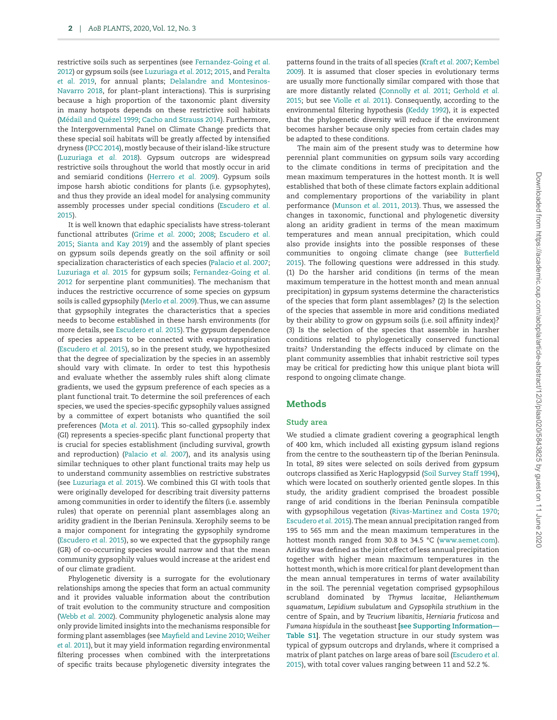restrictive soils such as serpentines (see [Fernandez-Going](#page-6-4) *et al.* [2012\)](#page-6-4) or gypsum soils (see [Luzuriaga](#page-6-5) *et al*. 2012; [2015](#page-6-6), and [Peralta](#page-7-3) *et al*[. 2019,](#page-7-3) for annual plants; [Delalandre and Montesinos-](#page-5-0)[Navarro 2018,](#page-5-0) for plant–plant interactions). This is surprising because a high proportion of the taxonomic plant diversity in many hotspots depends on these restrictive soil habitats [\(Médail and Quézel 1999](#page-6-7); [Cacho and Strauss 2014\)](#page-5-1). Furthermore, the Intergovernmental Panel on Climate Change predicts that these special soil habitats will be greatly affected by intensified dryness ([IPCC 2014](#page-6-8)), mostly because of their island-like structure [\(Luzuriaga](#page-6-9) *et al.* 2018). Gypsum outcrops are widespread restrictive soils throughout the world that mostly occur in arid and semiarid conditions [\(Herrero](#page-6-10) *et al.* 2009). Gypsum soils impose harsh abiotic conditions for plants (i.e. gypsophytes), and thus they provide an ideal model for analysing community assembly processes under special conditions ([Escudero](#page-6-11) *et al.* [2015\)](#page-6-11).

It is well known that edaphic specialists have stress-tolerant functional attributes [\(Grime](#page-6-12) *et al*. 2000; [2008](#page-6-13); [Escudero](#page-6-11) *et al.* [2015;](#page-6-11) [Sianta and Kay 2019](#page-7-4)) and the assembly of plant species on gypsum soils depends greatly on the soil affinity or soil specialization characteristics of each species ([Palacio](#page-7-5) *et al.* 2007; [Luzuriaga](#page-6-6) *et al.* 2015 for gypsum soils; [Fernandez-Going](#page-6-4) *et al.* [2012](#page-6-4) for serpentine plant communities). The mechanism that induces the restrictive occurrence of some species on gypsum soils is called gypsophily ([Merlo](#page-6-14) *et al.* 2009). Thus, we can assume that gypsophily integrates the characteristics that a species needs to become established in these harsh environments (for more details, see [Escudero](#page-6-11) *et al.* 2015). The gypsum dependence of species appears to be connected with evapotranspiration [\(Escudero](#page-6-11) *et al.* 2015), so in the present study, we hypothesized that the degree of specialization by the species in an assembly should vary with climate. In order to test this hypothesis and evaluate whether the assembly rules shift along climate gradients, we used the gypsum preference of each species as a plant functional trait. To determine the soil preferences of each species, we used the species-specific gypsophily values assigned by a committee of expert botanists who quantified the soil preferences (Mota *et al*[. 2011\)](#page-6-15). This so-called gypsophily index (GI) represents a species-specific plant functional property that is crucial for species establishment (including survival, growth and reproduction) ([Palacio](#page-7-5) *et al.* 2007), and its analysis using similar techniques to other plant functional traits may help us to understand community assemblies on restrictive substrates (see [Luzuriaga](#page-6-6) *et al.* 2015). We combined this GI with tools that were originally developed for describing trait diversity patterns among communities in order to identify the filters (i.e. assembly rules) that operate on perennial plant assemblages along an aridity gradient in the Iberian Peninsula. Xerophily seems to be a major component for integrating the gypsophily syndrome [\(Escudero](#page-6-11) *et al.* 2015), so we expected that the gypsophily range (GR) of co-occurring species would narrow and that the mean community gypsophily values would increase at the aridest end of our climate gradient.

Phylogenetic diversity is a surrogate for the evolutionary relationships among the species that form an actual community and it provides valuable information about the contribution of trait evolution to the community structure and composition [\(Webb](#page-7-6) *et al.* 2002). Community phylogenetic analysis alone may only provide limited insights into the mechanisms responsible for forming plant assemblages (see [Mayfield and Levine 2010;](#page-6-16) [Weiher](#page-7-7) *et al.* [2011\)](#page-7-7), but it may yield information regarding environmental filtering processes when combined with the interpretations of specific traits because phylogenetic diversity integrates the

patterns found in the traits of all species [\(Kraft](#page-6-17) *et al.* 2007; [Kembel](#page-6-18) [2009\)](#page-6-18). It is assumed that closer species in evolutionary terms are usually more functionally similar compared with those that are more distantly related [\(Connolly](#page-5-2) *et al.* 2011; [Gerhold](#page-6-19) *et al.* [2015;](#page-6-19) but see [Violle](#page-7-8) *et al*. 2011). Consequently, according to the environmental filtering hypothesis ([Keddy 1992](#page-6-0)), it is expected that the phylogenetic diversity will reduce if the environment becomes harsher because only species from certain clades may be adapted to these conditions.

The main aim of the present study was to determine how perennial plant communities on gypsum soils vary according to the climate conditions in terms of precipitation and the mean maximum temperatures in the hottest month. It is well established that both of these climate factors explain additional and complementary proportions of the variability in plant performance (Munson *et al*[. 2011, 2013\)](#page-6-20). Thus, we assessed the changes in taxonomic, functional and phylogenetic diversity along an aridity gradient in terms of the mean maximum temperatures and mean annual precipitation, which could also provide insights into the possible responses of these communities to ongoing climate change (see [Butterfield](#page-5-3) [2015\)](#page-5-3). The following questions were addressed in this study. (1) Do the harsher arid conditions (in terms of the mean maximum temperature in the hottest month and mean annual precipitation) in gypsum systems determine the characteristics of the species that form plant assemblages? (2) Is the selection of the species that assemble in more arid conditions mediated by their ability to grow on gypsum soils (i.e. soil affinity index)? (3) Is the selection of the species that assemble in harsher conditions related to phylogenetically conserved functional traits? Understanding the effects induced by climate on the plant community assemblies that inhabit restrictive soil types may be critical for predicting how this unique plant biota will respond to ongoing climate change.

## **Methods**

#### **Study area**

We studied a climate gradient covering a geographical length of 400 km, which included all existing gypsum island regions from the centre to the southeastern tip of the Iberian Peninsula. In total, 89 sites were selected on soils derived from gypsum outcrops classified as Xeric Haplogypsid [\(Soil Survey Staff 1994\)](#page-7-9), which were located on southerly oriented gentle slopes. In this study, the aridity gradient comprised the broadest possible range of arid conditions in the Iberian Peninsula compatible with gypsophilous vegetation [\(Rivas-Martinez and Costa 1970](#page-7-10); [Escudero](#page-6-11) *et al.* 2015). The mean annual precipitation ranged from 195 to 565 mm and the mean maximum temperatures in the hottest month ranged from 30.8 to 34.5 °C [\(www.aemet.com\)](http://www.aemet.com). Aridity was defined as the joint effect of less annual precipitation together with higher mean maximum temperatures in the hottest month, which is more critical for plant development than the mean annual temperatures in terms of water availability in the soil. The perennial vegetation comprised gypsophilous scrubland dominated by *Thymus lacaitae*, *Helianthemum squamatum*, *Lepidium subulatum* and *Gypsophila struthium* in the centre of Spain, and by *Teucrium libanitis*, *Herniaria fruticosa* and *Fumana hispidula* in the southeast **[\[see Supporting Information—](http://academic.oup.com/aobpla/article-lookup/doi/10.1093/aobpla/plaa020#supplementary-data) [Table S1](http://academic.oup.com/aobpla/article-lookup/doi/10.1093/aobpla/plaa020#supplementary-data)]**. The vegetation structure in our study system was typical of gypsum outcrops and drylands, where it comprised a matrix of plant patches on large areas of bare soil ([Escudero](#page-6-11) *et al.* [2015\)](#page-6-11), with total cover values ranging between 11 and 52.2 %.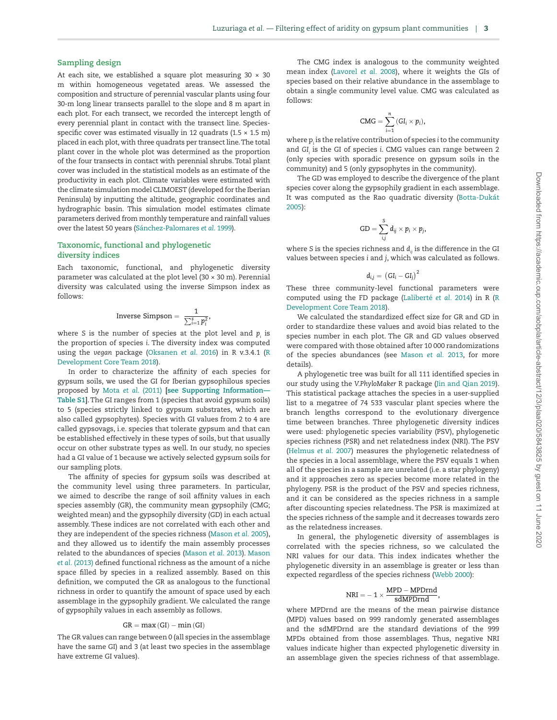#### **Sampling design**

At each site, we established a square plot measuring  $30 \times 30$ m within homogeneous vegetated areas. We assessed the composition and structure of perennial vascular plants using four 30-m long linear transects parallel to the slope and 8 m apart in each plot. For each transect, we recorded the intercept length of every perennial plant in contact with the transect line. Speciesspecific cover was estimated visually in 12 quadrats (1.5  $\times$  1.5 m) placed in each plot, with three quadrats per transect line. The total plant cover in the whole plot was determined as the proportion of the four transects in contact with perennial shrubs. Total plant cover was included in the statistical models as an estimate of the productivity in each plot. Climate variables were estimated with the climate simulation model CLIMOEST (developed for the Iberian Peninsula) by inputting the altitude, geographic coordinates and hydrographic basin. This simulation model estimates climate parameters derived from monthly temperature and rainfall values over the latest 50 years [\(Sánchez-Palomares](#page-7-11) *et al*. 1999).

#### **Taxonomic, functional and phylogenetic diversity indices**

Each taxonomic, functional, and phylogenetic diversity parameter was calculated at the plot level (30 × 30 m). Perennial diversity was calculated using the inverse Simpson index as follows:

Inverse Simpson = 
$$
\frac{1}{\sum_{i=1}^{s} p_i^2}
$$

where S is the number of species at the plot level and  $p_i$  is the proportion of species *i*. The diversity index was computed using the *vegan* package [\(Oksanen](#page-7-12) *et al*. 2016) in R v.3.4.1 [\(R](#page-7-13) [Development Core Team 2018\)](#page-7-13).

In order to characterize the affinity of each species for gypsum soils, we used the GI for Iberian gypsophilous species proposed by Mota *et al*[. \(2011\)](#page-6-15) **[\[see Supporting Information—](http://academic.oup.com/aobpla/article-lookup/doi/10.1093/aobpla/plaa020#supplementary-data) [Table S1](http://academic.oup.com/aobpla/article-lookup/doi/10.1093/aobpla/plaa020#supplementary-data)]**. The GI ranges from 1 (species that avoid gypsum soils) to 5 (species strictly linked to gypsum substrates, which are also called gypsophytes). Species with GI values from 2 to 4 are called gypsovags, i.e. species that tolerate gypsum and that can be established effectively in these types of soils, but that usually occur on other substrate types as well. In our study, no species had a GI value of 1 because we actively selected gypsum soils for our sampling plots.

The affinity of species for gypsum soils was described at the community level using three parameters. In particular, we aimed to describe the range of soil affinity values in each species assembly (GR), the community mean gypsophily (CMG; weighted mean) and the gypsophily diversity (GD) in each actual assembly. These indices are not correlated with each other and they are independent of the species richness [\(Mason](#page-6-21) *et al.* 2005), and they allowed us to identify the main assembly processes related to the abundances of species [\(Mason](#page-6-22) *et al.* 2013). [Mason](#page-6-22) *et al.* [\(2013\)](#page-6-22) defined functional richness as the amount of a niche space filled by species in a realized assembly. Based on this definition, we computed the GR as analogous to the functional richness in order to quantify the amount of space used by each assemblage in the gypsophily gradient. We calculated the range of gypsophily values in each assembly as follows.

#### $GR = max(GI) - min(GI)$

The GR values can range between 0 (all species in the assemblage have the same GI) and 3 (at least two species in the assemblage have extreme GI values).

The CMG index is analogous to the community weighted mean index [\(Lavorel](#page-6-23) *et al.* 2008), where it weights the GIs of species based on their relative abundance in the assemblage to obtain a single community level value. CMG was calculated as follows:

$$
CMG = \sum_{i=1}^n \left( GI_i \times p_i \right),
$$

where p<sub>i</sub> is the relative contribution of species i to the community and *GIi* is the GI of species *i*. CMG values can range between 2 (only species with sporadic presence on gypsum soils in the community) and 5 (only gypsophytes in the community).

The GD was employed to describe the divergence of the plant species cover along the gypsophily gradient in each assemblage. It was computed as the Rao quadratic diversity ([Botta-Dukát](#page-5-4) [2005\)](#page-5-4):

$$
\mathrm{GD} = \sum_{i,j}^{\mathrm{S}} d_{ij} \times p_i \times p_j,
$$

where *S* is the species richness and  $d<sub>ii</sub>$  is the difference in the GI values between species *i* and *j*, which was calculated as follows.

$$
d_{i,j}=\,\left(GI_{i}-GI_{j}\right)^{2}
$$

These three community-level functional parameters were computed using the FD package ([Laliberté](#page-6-24) *et al.* 2014) in R [\(R](#page-7-13) [Development Core Team 2018\)](#page-7-13).

We calculated the standardized effect size for GR and GD in order to standardize these values and avoid bias related to the species number in each plot. The GR and GD values observed were compared with those obtained after 10 000 randomizations of the species abundances (see [Mason](#page-6-22) *et al.* 2013, for more details).

A phylogenetic tree was built for all 111 identified species in our study using the *V.PhyloMaker* R package [\(Jin and Qian 2019\)](#page-6-25). This statistical package attaches the species in a user-supplied list to a megatree of 74 533 vascular plant species where the branch lengths correspond to the evolutionary divergence time between branches. Three phylogenetic diversity indices were used: phylogenetic species variability (PSV), phylogenetic species richness (PSR) and net relatedness index (NRI). The PSV [\(Helmus](#page-6-26) *et al.* 2007) measures the phylogenetic relatedness of the species in a local assemblage, where the PSV equals 1 when all of the species in a sample are unrelated (i.e. a star phylogeny) and it approaches zero as species become more related in the phylogeny. PSR is the product of the PSV and species richness, and it can be considered as the species richness in a sample after discounting species relatedness. The PSR is maximized at the species richness of the sample and it decreases towards zero as the relatedness increases.

In general, the phylogenetic diversity of assemblages is correlated with the species richness, so we calculated the NRI values for our data. This index indicates whether the phylogenetic diversity in an assemblage is greater or less than expected regardless of the species richness ([Webb 2000](#page-7-14)):

$$
NRI = -\ 1 \times \frac{MPD - MPDrnd}{sdMPDrnd},
$$

where MPDrnd are the means of the mean pairwise distance (MPD) values based on 999 randomly generated assemblages and the sdMPDrnd are the standard deviations of the 999 MPDs obtained from those assemblages. Thus, negative NRI values indicate higher than expected phylogenetic diversity in an assemblage given the species richness of that assemblage.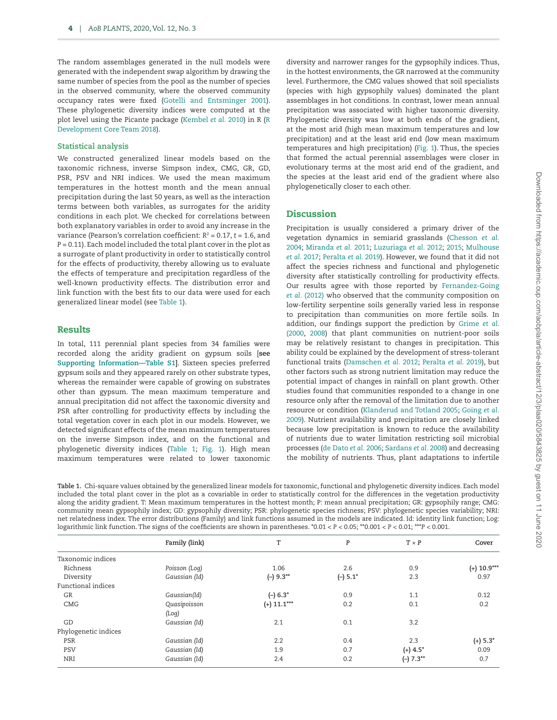The random assemblages generated in the null models were generated with the independent swap algorithm by drawing the same number of species from the pool as the number of species in the observed community, where the observed community occupancy rates were fixed ([Gotelli and Entsminger 2001\)](#page-6-27). These phylogenetic diversity indices were computed at the plot level using the Picante package [\(Kembel](#page-6-28) *et al.* 2010) in R [\(R](#page-7-13) [Development Core Team 2018\)](#page-7-13).

#### **Statistical analysis**

We constructed generalized linear models based on the taxonomic richness, inverse Simpson index, CMG, GR, GD, PSR, PSV and NRI indices. We used the mean maximum temperatures in the hottest month and the mean annual precipitation during the last 50 years, as well as the interaction terms between both variables, as surrogates for the aridity conditions in each plot. We checked for correlations between both explanatory variables in order to avoid any increase in the variance (Pearson's correlation coefficient: *R*<sup>2</sup> = 0.17, *t* = 1.6, and *P* = 0.11). Each model included the total plant cover in the plot as a surrogate of plant productivity in order to statistically control for the effects of productivity, thereby allowing us to evaluate the effects of temperature and precipitation regardless of the well-known productivity effects. The distribution error and link function with the best fits to our data were used for each generalized linear model (see [Table 1](#page-3-0)).

#### Results

In total, 111 perennial plant species from 34 families were recorded along the aridity gradient on gypsum soils [**see [Supporting Information—Table S1](http://academic.oup.com/aobpla/article-lookup/doi/10.1093/aobpla/plaa020#supplementary-data)]**. Sixteen species preferred gypsum soils and they appeared rarely on other substrate types, whereas the remainder were capable of growing on substrates other than gypsum. The mean maximum temperature and annual precipitation did not affect the taxonomic diversity and PSR after controlling for productivity effects by including the total vegetation cover in each plot in our models. However, we detected significant effects of the mean maximum temperatures on the inverse Simpson index, and on the functional and phylogenetic diversity indices [\(Table 1](#page-3-0); [Fig. 1](#page-4-0)). High mean maximum temperatures were related to lower taxonomic

diversity and narrower ranges for the gypsophily indices. Thus, in the hottest environments, the GR narrowed at the community level. Furthermore, the CMG values showed that soil specialists (species with high gypsophily values) dominated the plant assemblages in hot conditions. In contrast, lower mean annual precipitation was associated with higher taxonomic diversity. Phylogenetic diversity was low at both ends of the gradient, at the most arid (high mean maximum temperatures and low precipitation) and at the least arid end (low mean maximum temperatures and high precipitation) [\(Fig. 1\)](#page-4-0). Thus, the species that formed the actual perennial assemblages were closer in evolutionary terms at the most arid end of the gradient, and the species at the least arid end of the gradient where also phylogenetically closer to each other.

## **Discussion**

Precipitation is usually considered a primary driver of the vegetation dynamics in semiarid grasslands [\(Chesson](#page-5-5) *et al.* [2004;](#page-5-5) [Miranda](#page-6-29) *et al.* 2011; [Luzuriaga](#page-6-5) *et al*. 2012; [2015;](#page-6-6) [Mulhouse](#page-6-30) *et al*[. 2017;](#page-6-30) [Peralta](#page-7-3) *et al*. 2019). However, we found that it did not affect the species richness and functional and phylogenetic diversity after statistically controlling for productivity effects. Our results agree with those reported by [Fernandez-Going](#page-6-4) *et al.* [\(2012\)](#page-6-4) who observed that the community composition on low-fertility serpentine soils generally varied less in response to precipitation than communities on more fertile soils. In addition, our findings support the prediction by [Grime](#page-6-12) *et al*. [\(2000](#page-6-12), [2008\)](#page-6-13) that plant communities on nutrient-poor soils may be relatively resistant to changes in precipitation. This ability could be explained by the development of stress-tolerant functional traits ([Damschen](#page-5-6) *et al.* 2012; [Peralta](#page-7-3) *et al*. 2019), but other factors such as strong nutrient limitation may reduce the potential impact of changes in rainfall on plant growth. Other studies found that communities responded to a change in one resource only after the removal of the limitation due to another resource or condition [\(Klanderud and Totland 2005;](#page-6-31) [Going](#page-6-32) *et al.* [2009\)](#page-6-32). Nutrient availability and precipitation are closely linked because low precipitation is known to reduce the availability of nutrients due to water limitation restricting soil microbial processes [\(de Dato](#page-5-7) *et al.* 2006; [Sardans](#page-7-15) *et al*. 2008) and decreasing the mobility of nutrients. Thus, plant adaptations to infertile

<span id="page-3-0"></span>**Table 1.** Chi-square values obtained by the generalized linear models for taxonomic, functional and phylogenetic diversity indices. Each model included the total plant cover in the plot as a covariable in order to statistically control for the differences in the vegetation productivity along the aridity gradient. T: Mean maximum temperatures in the hottest month; P: mean annual precipitation; GR: gypsophily range; CMG: community mean gypsophily index; GD: gypsophily diversity; PSR: phylogenetic species richness; PSV: phylogenetic species variability; NRI: net relatedness index. The error distributions (Family) and link functions assumed in the models are indicated. Id: identity link function; Log: logarithmic link function. The signs of the coefficients are shown in parentheses. \*0.01 < *P* < 0.05; \*\*0.001 < *P* < 0.01; \*\*\**P* < 0.001.

|                      | Family (link) | Т             | P          | $T \times P$           | Cover         |
|----------------------|---------------|---------------|------------|------------------------|---------------|
| Taxonomic indices    |               |               |            |                        |               |
| Richness             | Poisson (Log) | 1.06          | 2.6        | 0.9                    | $(+)$ 10.9*** |
| Diversity            | Gaussian (Id) | $(-) 9.3***$  | $(-) 5.1*$ | 2.3                    | 0.97          |
| Functional indices   |               |               |            |                        |               |
| GR                   | Gaussian(Id)  | $(-) 6.3^*$   | 0.9        | 1.1                    | 0.12          |
| CMG                  | Quasipoisson  | $(+)$ 11.1*** | 0.2        | 0.1                    | 0.2           |
|                      | (Log)         |               |            |                        |               |
| GD                   | Gaussian (Id) | 2.1           | 0.1        | 3.2                    |               |
| Phylogenetic indices |               |               |            |                        |               |
| PSR                  | Gaussian (Id) | 2.2           | 0.4        | 2.3                    | $(+)$ 5.3 $*$ |
| <b>PSV</b>           | Gaussian (Id) | 1.9           | 0.7        | $(+)$ 4.5 <sup>*</sup> | 0.09          |
| NRI                  | Gaussian (Id) | 2.4           | 0.2        | $(-) 7.3***$           | 0.7           |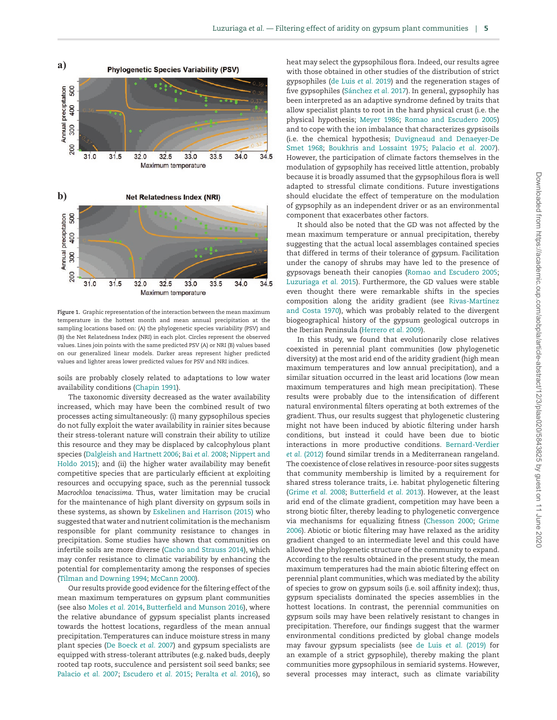

<span id="page-4-0"></span>**Figure 1.** Graphic representation of the interaction between the mean maximum temperature in the hottest month and mean annual precipitation at the sampling locations based on: (A) the phylogenetic species variability (PSV) and (B) the Net Relatedness Index (NRI) in each plot. Circles represent the observed values. Lines join points with the same predicted PSV (A) or NRI (B) values based on our generalized linear models. Darker areas represent higher predicted values and lighter areas lower predicted values for PSV and NRI indices.

soils are probably closely related to adaptations to low water availability conditions ([Chapin 1991](#page-5-8)).

The taxonomic diversity decreased as the water availability increased, which may have been the combined result of two processes acting simultaneously: (i) many gypsophilous species do not fully exploit the water availability in rainier sites because their stress-tolerant nature will constrain their ability to utilize this resource and they may be displaced by calcophylous plant species [\(Dalgleish and Hartnett 2006](#page-5-9); Bai *et al.* [2008;](#page-5-10) [Nippert and](#page-6-33) [Holdo 2015\)](#page-6-33); and (ii) the higher water availability may benefit competitive species that are particularly efficient at exploiting resources and occupying space, such as the perennial tussock *Macrochloa tenacissima*. Thus, water limitation may be crucial for the maintenance of high plant diversity on gypsum soils in these systems, as shown by [Eskelinen and Harrison \(2015\)](#page-6-34) who suggested that water and nutrient colimitation is the mechanism responsible for plant community resistance to changes in precipitation. Some studies have shown that communities on infertile soils are more diverse [\(Cacho and Strauss 2014\)](#page-5-1), which may confer resistance to climatic variability by enhancing the potential for complementarity among the responses of species [\(Tilman and Downing 1994;](#page-7-16) [McCann 2000\)](#page-6-35).

Our results provide good evidence for the filtering effect of the mean maximum temperatures on gypsum plant communities (see also [Moles](#page-6-36) *et al.* 2014, [Butterfield and Munson 2016\)](#page-5-11), where the relative abundance of gypsum specialist plants increased towards the hottest locations, regardless of the mean annual precipitation. Temperatures can induce moisture stress in many plant species [\(De Boeck](#page-5-12) *et al.* 2007) and gypsum specialists are equipped with stress-tolerant attributes (e.g. naked buds, deeply rooted tap roots, succulence and persistent soil seed banks; see [Palacio](#page-7-5) *et al.* 2007; [Escudero](#page-6-11) *et al.* 2015; [Peralta](#page-7-17) *et al.* 2016), so

heat may select the gypsophilous flora. Indeed, our results agree with those obtained in other studies of the distribution of strict gypsophiles ([de Luis](#page-5-13) *et al.* 2019) and the regeneration stages of five gypsophiles ([Sánchez](#page-7-18) *et al.* 2017). In general, gypsophily has been interpreted as an adaptive syndrome defined by traits that allow specialist plants to root in the hard physical crust (i.e. the physical hypothesis; [Meyer 1986](#page-6-37); [Romao and Escudero 2005\)](#page-7-19) and to cope with the ion imbalance that characterizes gypsisoils (i.e. the chemical hypothesis; [Duvigneaud and Denaeyer-De](#page-6-38) [Smet 1968](#page-6-38); [Boukhris and Lossaint 1975;](#page-5-14) [Palacio](#page-7-5) *et al.* 2007). However, the participation of climate factors themselves in the modulation of gypsophily has received little attention, probably because it is broadly assumed that the gypsophilous flora is well adapted to stressful climate conditions. Future investigations should elucidate the effect of temperature on the modulation of gypsophily as an independent driver or as an environmental component that exacerbates other factors.

It should also be noted that the GD was not affected by the mean maximum temperature or annual precipitation, thereby suggesting that the actual local assemblages contained species that differed in terms of their tolerance of gypsum. Facilitation under the canopy of shrubs may have led to the presence of gypsovags beneath their canopies [\(Romao and Escudero 2005](#page-7-19); [Luzuriaga](#page-6-6) *et al.* 2015). Furthermore, the GD values were stable even thought there were remarkable shifts in the species composition along the aridity gradient (see [Rivas-Martínez](#page-7-10) [and Costa 1970](#page-7-10)), which was probably related to the divergent biogeographical history of the gypsum geological outcrops in the Iberian Peninsula ([Herrero](#page-6-10) *et al.* 2009).

In this study, we found that evolutionarily close relatives coexisted in perennial plant communities (low phylogenetic diversity) at the most arid end of the aridity gradient (high mean maximum temperatures and low annual precipitation), and a similar situation occurred in the least arid locations (low mean maximum temperatures and high mean precipitation). These results were probably due to the intensification of different natural environmental filters operating at both extremes of the gradient. Thus, our results suggest that phylogenetic clustering might not have been induced by abiotic filtering under harsh conditions, but instead it could have been due to biotic interactions in more productive conditions. [Bernard-Verdier](#page-5-15) *et al.* [\(2012\)](#page-5-15) found similar trends in a Mediterranean rangeland. The coexistence of close relatives in resource-poor sites suggests that community membership is limited by a requirement for shared stress tolerance traits, i.e. habitat phylogenetic filtering [\(Grime](#page-6-13) *et al.* 2008; [Butterfield](#page-5-16) *et al.* 2013). However, at the least arid end of the climate gradient, competition may have been a strong biotic filter, thereby leading to phylogenetic convergence via mechanisms for equalizing fitness ([Chesson 2000](#page-5-17); [Grime](#page-6-39) [2006\)](#page-6-39). Abiotic or biotic filtering may have relaxed as the aridity gradient changed to an intermediate level and this could have allowed the phylogenetic structure of the community to expand. According to the results obtained in the present study, the mean maximum temperatures had the main abiotic filtering effect on perennial plant communities, which was mediated by the ability of species to grow on gypsum soils (i.e. soil affinity index); thus, gypsum specialists dominated the species assemblies in the hottest locations. In contrast, the perennial communities on gypsum soils may have been relatively resistant to changes in precipitation. Therefore, our findings suggest that the warmer environmental conditions predicted by global change models may favour gypsum specialists (see [de Luis](#page-5-13) *et al.* (2019) for an example of a strict gypsophile), thereby making the plant communities more gypsophilous in semiarid systems. However, several processes may interact, such as climate variability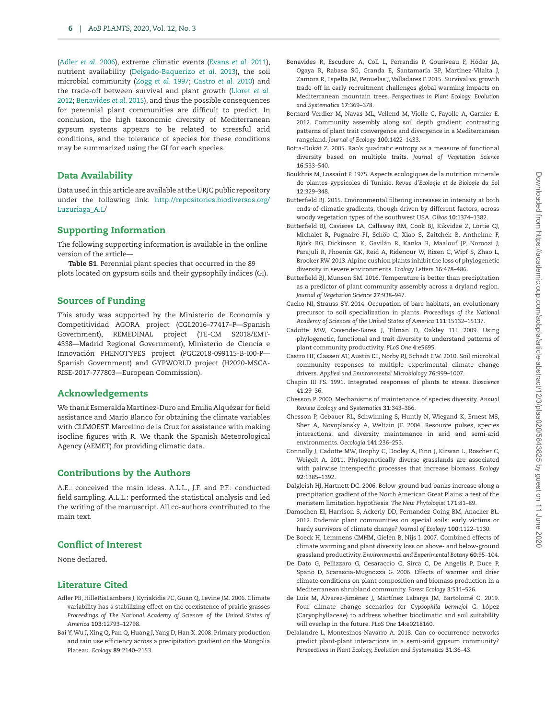[\(Adler](#page-5-18) *et al.* 2006), extreme climatic events [\(Evans](#page-6-40) *et al.* 2011), nutrient availability ([Delgado-Baquerizo](#page-6-41) *et al.* 2013), the soil microbial community (Zogg *et al.* [1997;](#page-7-20) [Castro](#page-5-19) *et al.* 2010) and the trade-off between survival and plant growth [\(Lloret](#page-6-42) *et al.* [2012;](#page-6-42) [Benavides](#page-5-20) *et al.* 2015), and thus the possible consequences for perennial plant communities are difficult to predict. In conclusion, the high taxonomic diversity of Mediterranean gypsum systems appears to be related to stressful arid conditions, and the tolerance of species for these conditions may be summarized using the GI for each species.

## Data Availability

Data used in this article are available at the URJC public repository under the following link: [http://repositories.biodiversos.org/](http://repositories.biodiversos.org/Luzuriaga_A.L) [Luzuriaga\\_A.L/](http://repositories.biodiversos.org/Luzuriaga_A.L)

#### Supporting Information

The following supporting information is available in the online version of the article—

Table S1. Perennial plant species that occurred in the 89 plots located on gypsum soils and their gypsophily indices (GI).

## Sources of Funding

This study was supported by the Ministerio de Economía y Competitividad AGORA project (CGL2016–77417–P—Spanish Government), REMEDINAL project (TE-CM S2018/EMT-4338—Madrid Regional Government), Ministerio de Ciencia e Innovación PHENOTYPES project (PGC2018-099115-B-I00-P— Spanish Government) and GYPWORLD project (H2020-MSCA-RISE-2017-777803—European Commission).

## Acknowledgements

We thank Esmeralda Martínez-Duro and Emilia Alquézar for field assistance and Mario Blanco for obtaining the climate variables with CLIMOEST. Marcelino de la Cruz for assistance with making isocline figures with R. We thank the Spanish Meteorological Agency (AEMET) for providing climatic data.

## Contributions by the Authors

A.E.: conceived the main ideas. A.L.L., J.F. and P.F.: conducted field sampling. A.L.L.: performed the statistical analysis and led the writing of the manuscript. All co-authors contributed to the main text.

## Conflict of Interest

None declared.

### Literature Cited

- <span id="page-5-18"></span>Adler PB, HilleRisLambers J, Kyriakidis PC, Guan Q, Levine JM. 2006. Climate variability has a stabilizing effect on the coexistence of prairie grasses *Proceedings of The National Academy of Sciences of the United States of America* **103**:12793–12798.
- <span id="page-5-10"></span>Bai Y, Wu J, Xing Q, Pan Q, Huang J, Yang D, Han X. 2008. Primary production and rain use efficiency across a precipitation gradient on the Mongolia Plateau. *Ecology* **89**:2140–2153.
- <span id="page-5-20"></span>Benavides R, Escudero A, Coll L, Ferrandis P, Gouriveau F, Hódar JA, Ogaya R, Rabasa SG, Granda E, Santamaría BP, Martínez-Vilalta J, Zamora R, Espelta JM, Peñuelas J, Valladares F. 2015. Survival vs. growth trade-off in early recruitment challenges global warming impacts on Mediterranean mountain trees. *Perspectives in Plant Ecology, Evolution and Systematics* **17**:369–378.
- <span id="page-5-15"></span>Bernard-Verdier M, Navas ML, Vellend M, Violle C, Fayolle A, Garnier E. 2012. Community assembly along soil depth gradient: contrasting patterns of plant trait convergence and divergence in a Mediterranean rangeland. *Journal of Ecology* **100**:1422–1433.
- <span id="page-5-4"></span>Botta-Dukát Z. 2005. Rao's quadratic entropy as a measure of functional diversity based on multiple traits. *Journal of Vegetation Science* **16**:533–540.
- <span id="page-5-14"></span>Boukhris M, Lossaint P. 1975. Aspects ecologiques de la nutrition minerale de plantes gypsicoles di Tunisie. *Revue d'Ecologie et de Biologie du Sol* **12**:329–348.
- <span id="page-5-3"></span>Butterfield BJ. 2015. Environmental filtering increases in intensity at both ends of climatic gradients, though driven by different factors, across woody vegetation types of the southwest USA. *Oikos* **10**:1374–1382.
- <span id="page-5-16"></span>Butterfield BJ, Cavieres LA, Callaway RM, Cook BJ, Kikvidze Z, Lortie CJ, Michalet R, Pugnaire FI, Schöb C, Xiao S, Zaitchek B, Anthelme F, Björk RG, Dickinson K, Gavilán R, Kanka R, Maalouf JP, Noroozi J, Parajuli R, Phoenix GK, Reid A, Ridenour W, Rixen C, Wipf S, Zhao L, Brooker RW. 2013. Alpine cushion plants inhibit the loss of phylogenetic diversity in severe environments. *Ecology Letters* **16**:478–486.
- <span id="page-5-11"></span>Butterfield BJ, Munson SM. 2016. Temperature is better than precipitation as a predictor of plant community assembly across a dryland region. *Journal of Vegetation Science* **27**:938–947.
- <span id="page-5-1"></span>Cacho NI, Strauss SY. 2014. Occupation of bare habitats, an evolutionary precursor to soil specialization in plants. *Proceedings of the National Academy of Sciences of the United States of America* **111**:15132–15137.
- Cadotte MW, Cavender-Bares J, Tilman D, Oakley TH. 2009. Using phylogenetic, functional and trait diversity to understand patterns of plant community productivity. *PLoS One* **4**:e5695.
- <span id="page-5-19"></span>Castro HF, Classen AT, Austin EE, Norby RJ, Schadt CW. 2010. Soil microbial community responses to multiple experimental climate change drivers. *Applied and Environmental Microbiology* **76**:999–1007.
- <span id="page-5-8"></span>Chapin III FS. 1991. Integrated responses of plants to stress. *Bioscience* **41**:29–36.
- <span id="page-5-17"></span>Chesson P. 2000. Mechanisms of maintenance of species diversity. *Annual Review Ecology and Systematics* **31**:343–366.
- <span id="page-5-5"></span>Chesson P, Gebauer RL, Schwinning S, Huntly N, Wiegand K, Ernest MS, Sher A, Novoplansky A, Weltzin JF. 2004. Resource pulses, species interactions, and diversity maintenance in arid and semi-arid environments. *Oecologia* **141**:236–253.
- <span id="page-5-2"></span>Connolly J, Cadotte MW, Brophy C, Dooley A, Finn J, Kirwan L, Roscher C, Weigelt A. 2011. Phylogenetically diverse grasslands are associated with pairwise interspecific processes that increase biomass. *Ecology* **92**:1385–1392.
- <span id="page-5-9"></span>Dalgleish HJ, Hartnett DC. 2006. Below-ground bud banks increase along a precipitation gradient of the North American Great Plains: a test of the meristem limitation hypothesis. *The New Phytologist* **171**:81–89.
- <span id="page-5-6"></span>Damschen EI, Harrison S, Ackerly DD, Fernandez-Going BM, Anacker BL. 2012. Endemic plant communities on special soils: early victims or hardy survivors of climate change? *Journal of Ecology* **100**:1122–1130.
- <span id="page-5-12"></span>De Boeck H, Lemmens CMHM, Gielen B, Nijs I. 2007. Combined effects of climate warming and plant diversity loss on above- and below-ground grassland productivity. *Environmental and Experimental Botany* **60**:95–104.
- <span id="page-5-7"></span>De Dato G, Pellizzaro G, Cesaraccio C, Sirca C, De Angelis P, Duce P, Spano D, Scarascia-Mugnozza G. 2006. Effects of warmer and drier climate conditions on plant composition and biomass production in a Mediterranean shrubland community. *Forest Ecology* **3**:511–526.
- <span id="page-5-13"></span>de Luis M, Álvarez-Jiménez J, Martínez Labarga JM, Bartolomé C. 2019. Four climate change scenarios for *Gypsophila bermejoi* G. *L*ópez (Caryophyllaceae) to address whether bioclimatic and soil suitability will overlap in the future. *PLoS One* **14**:e0218160.
- <span id="page-5-0"></span>Delalandre L, Montesinos-Navarro A. 2018. Can co-occurrence networks predict plant-plant interactions in a semi-arid gypsum community? *Perspectives in Plant Ecology, Evolution and Systematics* **31**:36–43.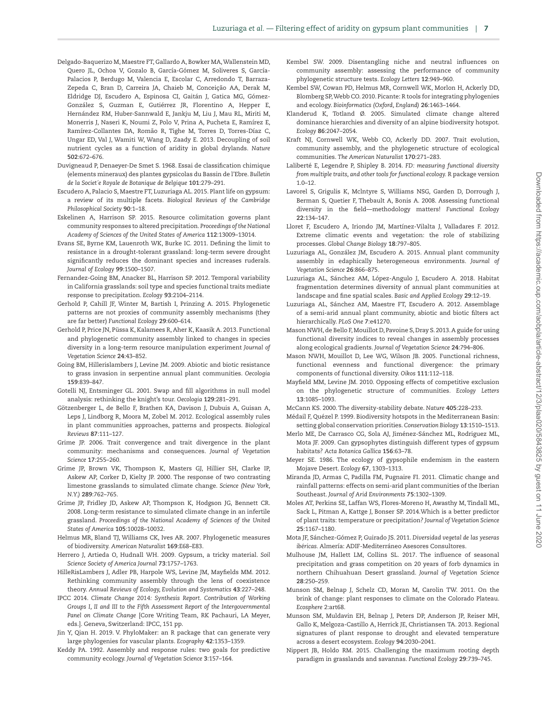- <span id="page-6-41"></span>Delgado-Baquerizo M, Maestre FT, Gallardo A, Bowker MA, Wallenstein MD, Quero JL, Ochoa V, Gozalo B, García-Gómez M, Soliveres S, García-Palacios P, Berdugo M, Valencia E, Escolar C, Arredondo T, Barraza-Zepeda C, Bran D, Carreira JA, Chaieb M, Conceição AA, Derak M, Eldridge DJ, Escudero A, Espinosa CI, Gaitán J, Gatica MG, Gómez-González S, Guzman E, Gutiérrez JR, Florentino A, Hepper E, Hernández RM, Huber-Sannwald E, Jankju M, Liu J, Mau RL, Miriti M, Monerris J, Naseri K, Noumi Z, Polo V, Prina A, Pucheta E, Ramírez E, Ramírez-Collantes DA, Romão R, Tighe M, Torres D, Torres-Díaz C, Ungar ED, Val J, Wamiti W, Wang D, Zaady E. 2013. Decoupling of soil nutrient cycles as a function of aridity in global drylands. *Nature* **502**:672–676.
- <span id="page-6-38"></span>Duvigneaud P, Denaeyer-De Smet S. 1968. Essai de classification chimique (elements mineraux) des plantes gypsicolas du Bassin de l'Ebre. *Bulletin de la Societ´e Royale de Botanique de Belgique* **101**:279–291.
- <span id="page-6-11"></span>Escudero A, Palacio S, Maestre FT, Luzuriaga AL. 2015. Plant life on gypsum: a review of its multiple facets. *Biological Reviews of the Cambridge Philosophical Society* **90**:1–18.
- <span id="page-6-34"></span>Eskelinen A, Harrison SP. 2015. Resource colimitation governs plant community responses to altered precipitation. *Proceedings of the National Academy of Sciences of the United States of America* **112**:13009–13014.
- <span id="page-6-40"></span>Evans SE, Byrne KM, Lauenroth WK, Burke IC. 2011. Defining the limit to resistance in a drought-tolerant grassland: long-term severe drought significantly reduces the dominant species and increases ruderals. *Journal of Ecology* **99**:1500–1507.
- <span id="page-6-4"></span>Fernandez-Going BM, Anacker BL, Harrison SP. 2012. Temporal variability in California grasslands: soil type and species functional traits mediate response to precipitation. *Ecology* **93**:2104–2114.
- <span id="page-6-19"></span>Gerhold P, Cahill JF, Winter M, Bartish I, Prinzing A. 2015. Phylogenetic patterns are not proxies of community assembly mechanisms (they are far better) *Functional Ecology* **29**:600–614.
- <span id="page-6-3"></span>Gerhold P, Price JN, Püssa K, Kalamees R, Aher K, Kaasik A. 2013. Functional and phylogenetic community assembly linked to changes in species diversity in a long-term resource manipulation experiment *Journal of Vegetation Science* **24**:43–852.
- <span id="page-6-32"></span>Going BM, Hillerislambers J, Levine JM. 2009. Abiotic and biotic resistance to grass invasion in serpentine annual plant communities. *Oecologia* **159**:839–847.
- <span id="page-6-27"></span>Gotelli NJ, Entsminger GL. 2001. Swap and fill algorithms in null model analysis: rethinking the knight's tour. *Oecologia* **129**:281–291.
- <span id="page-6-1"></span>Götzenberger L, de Bello F, Brathen KA, Davison J, Dubuis A, Guisan A, Leps J, Lindborg R, Moora M, Zobel M. 2012. Ecological assembly rules in plant communities approaches, patterns and prospects. *Biological Reviews* **87**:111–127.
- <span id="page-6-39"></span>Grime JP. 2006. Trait convergence and trait divergence in the plant community: mechanisms and consequences. *Journal of Vegetation Science* **17**:255–260.
- <span id="page-6-12"></span>Grime JP, Brown VK, Thompson K, Masters GJ, Hillier SH, Clarke IP, Askew AP, Corker D, Kielty JP. 2000. The response of two contrasting limestone grasslands to simulated climate change. *Science (New York, N.Y.)* **289**:762–765.
- <span id="page-6-13"></span>Grime JP, Fridley JD, Askew AP, Thompson K, Hodgson JG, Bennett CR. 2008. Long-term resistance to simulated climate change in an infertile grassland. *Proceedings of the National Academy of Sciences of the United States of America* **105**:10028–10032.
- <span id="page-6-26"></span>Helmus MR, Bland TJ, Williams CK, Ives AR. 2007. Phylogenetic measures of biodiversity. *American Naturalist* **169**:E68–E83.
- <span id="page-6-10"></span>Herrero J, Artieda O, Hudnall WH. 2009. Gypsum, a tricky material. *Soil Science Society of America Journal* **73**:1757–1763.
- <span id="page-6-2"></span>HilleRisLambers J, Adler PB, Harpole WS, Levine JM, Mayfields MM. 2012. Rethinking community assembly through the lens of coexistence theory. *Annual Reviews of Ecology, Evolution and Systematics* **43**:227–248.
- <span id="page-6-8"></span>IPCC 2014. *Climate Change 2014: Synthesis Report. Contribution of Working Groups I, II and III to the Fifth Assessment Report of the Intergovernmental Panel on Climate Change* [Core Writing Team, RK Pachauri, LA Meyer, eds.]. Geneva, Switzerland: IPCC, 151 pp.
- <span id="page-6-25"></span>Jin Y, Qian H. 2019. V. PhyloMaker: an R package that can generate very large phylogenies for vascular plants. *Ecography* **42**:1353–1359.
- <span id="page-6-0"></span>Keddy PA. 1992. Assembly and response rules: two goals for predictive community ecology. *Journal of Vegetation Science* **3**:157–164.
- <span id="page-6-18"></span>Kembel SW. 2009. Disentangling niche and neutral influences on community assembly: assessing the performance of community phylogenetic structure tests. *Ecology Letters* **12**:949–960.
- <span id="page-6-28"></span>Kembel SW, Cowan PD, Helmus MR, Cornwell WK, Morlon H, Ackerly DD, Blomberg SP, Webb CO. 2010. Picante: R tools for integrating phylogenies and ecology. *Bioinformatics (Oxford, England)* **26**:1463–1464.
- <span id="page-6-31"></span>Klanderud K, Totland Ø. 2005. Simulated climate change altered dominance hierarchies and diversity of an alpine biodiversity hotspot. *Ecology* **86**:2047–2054.
- <span id="page-6-17"></span>Kraft NJ, Cornwell WK, Webb CO, Ackerly DD. 2007. Trait evolution, community assembly, and the phylogenetic structure of ecological communities. *The American Naturalist* **170**:271–283.
- <span id="page-6-24"></span>Laliberté E, Legendre P, Shipley B. 2014. *FD: measuring functional diversity from multiple traits, and other tools for functional ecology.* R package version  $1.0 - 12.$
- <span id="page-6-23"></span>Lavorel S, Grigulis K, Mclntyre S, Williams NSG, Garden D, Dorrough J, Berman S, Quetier F, Thebault A, Bonis A. 2008. Assessing functional diversity in the field—methodology matters! *Functional Ecology* **22**:134–147.
- <span id="page-6-42"></span>Lloret F, Escudero A, Iriondo JM, Martínez-Vilalta J, Valladares F. 2012. Extreme climatic events and vegetation: the role of stabilizing processes. *Global Change Biology* **18**:797–805.
- <span id="page-6-6"></span>Luzuriaga AL, González JM, Escudero A. 2015. Annual plant community assembly in edaphically heterogeneous environments. *Journal of Vegetation Science* **26**:866–875.
- <span id="page-6-9"></span>Luzuriaga AL, Sánchez AM, López-Angulo J, Escudero A. 2018. Habitat fragmentation determines diversity of annual plant communities at landscape and fine spatial scales. *Basic and Applied Ecology* **29**:12–19.
- <span id="page-6-5"></span>Luzuriaga AL, Sánchez AM, Maestre FT, Escudero A. 2012. Assemblage of a semi-arid annual plant community, abiotic and biotic filters act hierarchically. *PLoS One* **7**:e41270.
- <span id="page-6-22"></span>Mason NWH, de Bello F, Mouillot D, Pavoine S, Dray S. 2013. A guide for using functional diversity indices to reveal changes in assembly processes along ecological gradients. *Journal of Vegetation Science* **24**:794–806.
- <span id="page-6-21"></span>Mason NWH, Mouillot D, Lee WG, Wilson JB. 2005. Functional richness, functional evenness and functional divergence: the primary components of functional diversity. *Oikos* **111**:112–118.
- <span id="page-6-16"></span>Mayfield MM, Levine JM. 2010. Opposing effects of competitive exclusion on the phylogenetic structure of communities. *Ecology Letters* **13**:1085–1093.
- <span id="page-6-35"></span>McCann KS. 2000. The diversity-stability debate. *Nature* **405**:228–233.
- <span id="page-6-7"></span>Médail F, Quézel P. 1999. Biodiversity hotspots in the Mediterranean Basin: setting global conservation priorities. *Conservation Biology* **13**:1510–1513.
- <span id="page-6-14"></span>Merlo ME, De Carrasco CG, Sola AJ, Jiménez-Sánchez ML, Rodriguez ML, Mota JF. 2009. Can gypsophytes distinguish different types of gypsum habitats? *Acta Botanica Gallica* **156**:63–78.
- <span id="page-6-37"></span>Meyer SE. 1986. The ecology of gypsophile endemism in the eastern Mojave Desert. *Ecology* **67**, 1303–1313.
- <span id="page-6-29"></span>Miranda JD, Armas C, Padilla FM, Pugnaire FI. 2011. Climatic change and rainfall patterns: effects on semi-arid plant communities of the Iberian Southeast. *Journal of Arid Environments* **75**:1302–1309.
- <span id="page-6-36"></span>Moles AT, Perkins SE, Laffan WS, Flores-Moreno H, Awasthy M, Tindall ML, Sack L, Pitman A, Kattge J, Bonser SP. 2014.Which is a better predictor of plant traits: temperature or precipitation? *Journal of Vegetation Science* **25**:1167–1180.
- <span id="page-6-15"></span>Mota JF, Sánchez-Gómez P, Guirado JS. 2011. *Diversidad vegetal de las yeseras ibéricas.* Almería: ADIF-Mediterráneo Asesores Consultores.
- <span id="page-6-30"></span>Mulhouse JM, Hallett LM, Collins SL. 2017. The influence of seasonal precipitation and grass competition on 20 years of forb dynamics in northern Chihuahuan Desert grassland. *Journal of Vegetation Science* **28**:250–259.
- Munson SM, Belnap J, Schelz CD, Moran M, Carolin TW. 2011. On the brink of change: plant responses to climate on the Colorado Plateau. *Ecosphere* 2:art68.
- <span id="page-6-20"></span>Munson SM, Muldavin EH, Belnap J, Peters DP, Anderson JP, Reiser MH, Gallo K, Melgoza-Castillo A, Herrick JE, Christiansen TA. 2013. Regional signatures of plant response to drought and elevated temperature across a desert ecosystem. *Ecology* **94**:2030–2041.
- <span id="page-6-33"></span>Nippert JB, Holdo RM. 2015. Challenging the maximum rooting depth paradigm in grasslands and savannas. *Functional Ecology* **29**:739–745.